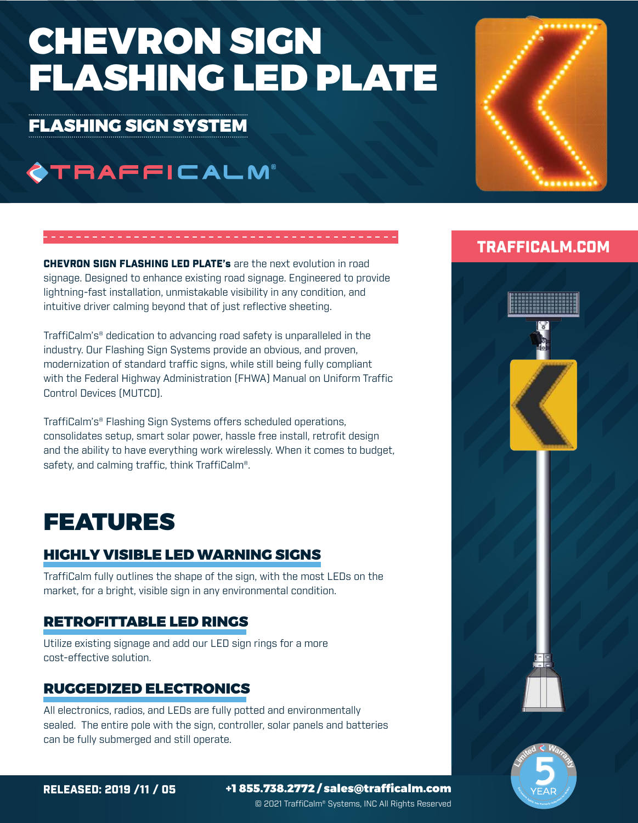# CHEVRON SIGN FLASHING LED PLATE

### FLASHING SIGN SYSTEM

# **OTRAFFICALM®**

**CHEVRON SIGN FLASHING LED PLATE's are the next evolution in road** signage. Designed to enhance existing road signage. Engineered to provide lightning-fast installation, unmistakable visibility in any condition, and intuitive driver calming beyond that of just reflective sheeting.

TraffiCalm's® dedication to advancing road safety is unparalleled in the industry. Our Flashing Sign Systems provide an obvious, and proven, modernization of standard traffic signs, while still being fully compliant with the Federal Highway Administration (FHWA) Manual on Uniform Traffic Control Devices (MUTCD).

TraffiCalm's® Flashing Sign Systems offers scheduled operations, consolidates setup, smart solar power, hassle free install, retrofit design and the ability to have everything work wirelessly. When it comes to budget, safety, and calming traffic, think TraffiCalm®.

# FEATURES

### HIGHLY VISIBLE LED WARNING SIGNS

TraffiCalm fully outlines the shape of the sign, with the most LEDs on the market, for a bright, visible sign in any environmental condition.

### RETROFITTABLE LED RINGS

Utilize existing signage and add our LED sign rings for a more cost-effective solution.

### RUGGEDIZED ELECTRONICS

All electronics, radios, and LEDs are fully potted and environmentally sealed. The entire pole with the sign, controller, solar panels and batteries can be fully submerged and still operate.



### TRAFFICALM.COM





RELEASED: 2019 /11 / 05 +1 855.738.2772 / sales@trafficalm.com

© 2021 TraffiCalm® Systems, INC All Rights Reserved